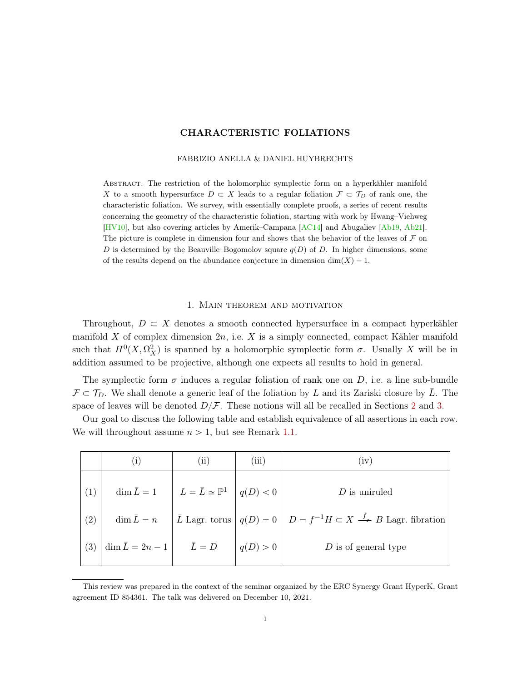# CHARACTERISTIC FOLIATIONS

#### FABRIZIO ANELLA & DANIEL HUYBRECHTS

<span id="page-0-0"></span>Abstract. The restriction of the holomorphic symplectic form on a hyperkähler manifold X to a smooth hypersurface  $D \subset X$  leads to a regular foliation  $\mathcal{F} \subset \mathcal{T}_D$  of rank one, the characteristic foliation. We survey, with essentially complete proofs, a series of recent results concerning the geometry of the characteristic foliation, starting with work by Hwang–Viehweg [\[HV10\]](#page-18-0), but also covering articles by Amerik–Campana [\[AC14\]](#page-17-0) and Abugaliev [\[Ab19,](#page-17-1) [Ab21\]](#page-17-2). The picture is complete in dimension four and shows that the behavior of the leaves of  $\mathcal F$  on D is determined by the Beauville–Bogomolov square  $q(D)$  of D. In higher dimensions, some of the results depend on the abundance conjecture in dimension  $\dim(X) - 1$ .

#### 1. Main theorem and motivation

Throughout,  $D \subset X$  denotes a smooth connected hypersurface in a compact hyperkähler manifold X of complex dimension  $2n$ , i.e. X is a simply connected, compact Kähler manifold such that  $H^0(X, \Omega_X^2)$  is spanned by a holomorphic symplectic form  $\sigma$ . Usually X will be in addition assumed to be projective, although one expects all results to hold in general.

The symplectic form  $\sigma$  induces a regular foliation of rank one on D, i.e. a line sub-bundle  $\mathcal{F} \subset \mathcal{T}_D$ . We shall denote a generic leaf of the foliation by L and its Zariski closure by  $\overline{L}$ . The space of leaves will be denoted  $D/F$ . These notions will all be recalled in Sections [2](#page-1-0) and [3.](#page-4-0)

|                   | $\left( 1\right)$                               | $\rm (ii)$                                                                | (iii)    | (iv)                                                                                                                                                            |
|-------------------|-------------------------------------------------|---------------------------------------------------------------------------|----------|-----------------------------------------------------------------------------------------------------------------------------------------------------------------|
| (1)               |                                                 | $\dim \overline{L} = 1$ $L = \overline{L} \simeq \mathbb{P}^1$ $q(D) < 0$ |          | $D$ is unituled                                                                                                                                                 |
| $\left( 2\right)$ |                                                 |                                                                           |          | $\dim \bar{L} = n$ $\left  \bar{L} \text{ Lagr. torus} \right  q(D) = 0$ $\left  D = f^{-1}H \subset X \stackrel{f}{\longrightarrow} B \text{ Lagr. fibration}$ |
| $\left(3\right)$  | $\dim \overline{L} = 2n - 1$ $\overline{L} = D$ |                                                                           | q(D) > 0 | $D$ is of general type                                                                                                                                          |

Our goal to discuss the following table and establish equivalence of all assertions in each row. We will throughout assume  $n > 1$ , but see Remark [1.1.](#page-1-1)

This review was prepared in the context of the seminar organized by the ERC Synergy Grant HyperK, Grant agreement ID 854361. The talk was delivered on December 10, 2021.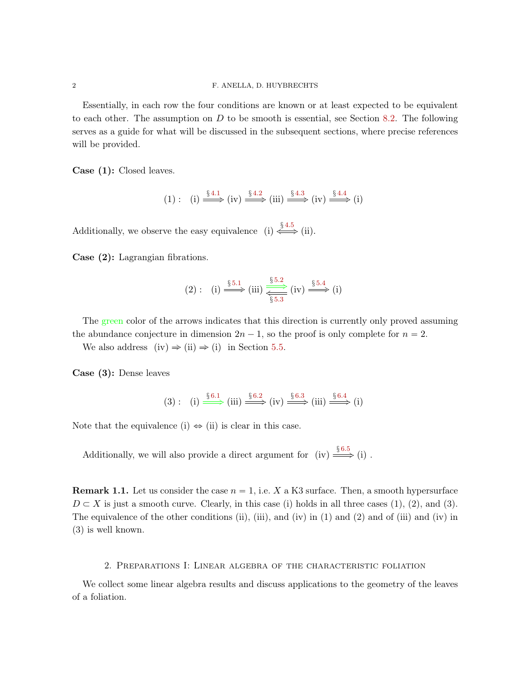Essentially, in each row the four conditions are known or at least expected to be equivalent to each other. The assumption on  $D$  to be smooth is essential, see Section [8.2.](#page-16-0) The following serves as a guide for what will be discussed in the subsequent sections, where precise references will be provided.

Case (1): Closed leaves.

$$
(1): (i) \xrightarrow{\S 4.1} (iv) \xrightarrow{\S 4.2} (iii) \xrightarrow{\S 4.3} (iv) \xrightarrow{\S 4.4} (i)
$$

Additionally, we observe the easy equivalence (i)  $\xleftrightarrow{\S^{4.5}}$  $\xleftrightarrow{\S^{4.5}}$  $\xleftrightarrow{\S^{4.5}}$  (ii).

Case (2): Lagrangian fibrations.

$$
(2): (i) \xrightarrow{\S 5.1} (iii) \xrightarrow{\S 5.2} (iv) \xrightarrow{\S 5.4} (i)
$$

The green color of the arrows indicates that this direction is currently only proved assuming the abundance conjecture in dimension  $2n - 1$ , so the proof is only complete for  $n = 2$ .

We also address (iv)  $\Rightarrow$  (ii)  $\Rightarrow$  (i) in Section [5.5.](#page-12-0)

Case (3): Dense leaves

$$
(3): (i) \xrightarrow{\S 6.1} (iii) \xrightarrow{\S 6.2} (iv) \xrightarrow{\S 6.3} (iii) \xrightarrow{\S 6.4} (i)
$$

Note that the equivalence (i)  $\Leftrightarrow$  (ii) is clear in this case.

Additionally, we will also provide a direct argument for (iv)  $\xrightarrow{\S 6.5}$  $\xrightarrow{\S 6.5}$  $\xrightarrow{\S 6.5}$  (i).

<span id="page-1-1"></span>**Remark 1.1.** Let us consider the case  $n = 1$ , i.e. X a K3 surface. Then, a smooth hypersurface  $D \subset X$  is just a smooth curve. Clearly, in this case (i) holds in all three cases (1), (2), and (3). The equivalence of the other conditions (ii), (iii), and (iv) in (1) and (2) and of (iii) and (iv) in (3) is well known.

### 2. Preparations I: Linear algebra of the characteristic foliation

<span id="page-1-0"></span>We collect some linear algebra results and discuss applications to the geometry of the leaves of a foliation.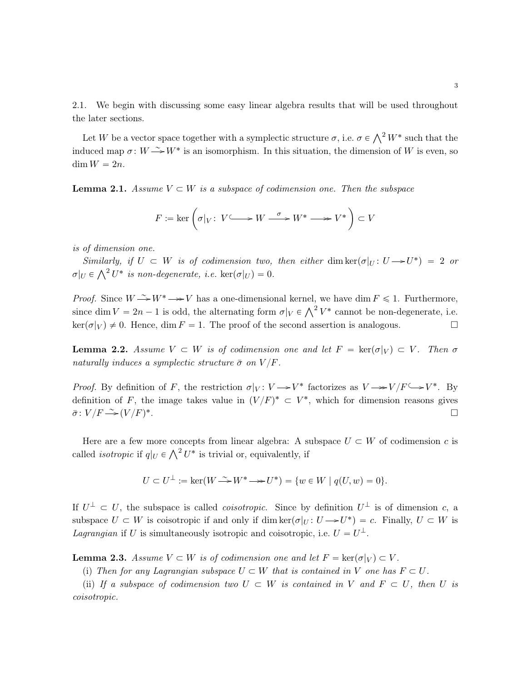2.1. We begin with discussing some easy linear algebra results that will be used throughout the later sections.

Let W be a vector space together with a symplectic structure  $\sigma$ , i.e.  $\sigma \in \bigwedge^2 W^*$  such that the induced map  $\sigma: W \xrightarrow{\sim} W^*$  is an isomorphism. In this situation, the dimension of W is even, so  $\dim W = 2n$ .

<span id="page-2-0"></span>**Lemma 2.1.** Assume  $V \subset W$  is a subspace of codimension one. Then the subspace

$$
F:=\ker\left(\sigma|_V\colon\, V{\longrightarrow\!\!\!\!\!\!\!\!\longrightarrow} W\stackrel{\sigma}{\longrightarrow} W^*\longrightarrow\!\!\!\!\!\longrightarrow V^*\,\right)\subset V
$$

is of dimension one.

Similarly, if  $U \subset W$  is of codimension two, then either dim ker $(\sigma|_U : U \rightarrow U^*) = 2$  or *Sumuary, y U*  $\subset$  *W is of coarmension two,*<br> $\sigma|_U \in \bigwedge^2 U^*$  is non-degenerate, i.e.  $\ker(\sigma|_U) = 0$ .

*Proof.* Since  $W \rightarrow W^* \rightarrow V$  has a one-dimensional kernel, we have dim  $F \leq 1$ . Furthermore, *Froof.* Since  $W \to W \to V$  has a one-dimensional kerner, we have dim  $F \le 1$ . Furthermore, since dim  $V = 2n - 1$  is odd, the alternating form  $\sigma|_V \in \bigwedge^2 V^*$  cannot be non-degenerate, i.e.  $\ker(\sigma|_V) \neq 0$ . Hence, dim  $F = 1$ . The proof of the second assertion is analogous.

<span id="page-2-1"></span>**Lemma 2.2.** Assume  $V \subset W$  is of codimension one and let  $F = \text{ker}(\sigma|_V) \subset V$ . Then  $\sigma$ naturally induces a symplectic structure  $\bar{\sigma}$  on  $V/F$ .

*Proof.* By definition of F, the restriction  $\sigma|_V: V \to V^*$  factorizes as  $V \to V/F \hookrightarrow V^*$ . By definition of F, the image takes value in  $(V/F)^* \subset V^*$ , which for dimension reasons gives  $\bar{\sigma}$ :  $V/F \rightarrow (V/F)^*$ .

Here are a few more concepts from linear algebra: A subspace  $U \subset W$  of codimension c is Free are a lew more concepts from linear algebra: A s<br>called *isotropic* if  $q|_U \in \bigwedge^2 U^*$  is trivial or, equivalently, if

$$
U \subset U^{\perp} := \ker(W \xrightarrow{\sim} W^* \longrightarrow U^*) = \{ w \in W \mid q(U, w) = 0 \}.
$$

If  $U^{\perp} \subset U$ , the subspace is called *coisotropic*. Since by definition  $U^{\perp}$  is of dimension c, a subspace  $U \subset W$  is coisotropic if and only if dim ker $(\sigma|_U : U \to U^*) = c$ . Finally,  $U \subset W$  is Lagrangian if U is simultaneously isotropic and coisotropic, i.e.  $U = U^{\perp}$ .

<span id="page-2-2"></span>**Lemma 2.3.** Assume  $V \subset W$  is of codimension one and let  $F = \text{ker}(\sigma|_V) \subset V$ .

(i) Then for any Lagrangian subspace  $U \subset W$  that is contained in V one has  $F \subset U$ .

(ii) If a subspace of codimension two  $U \subset W$  is contained in V and  $F \subset U$ , then U is coisotropic.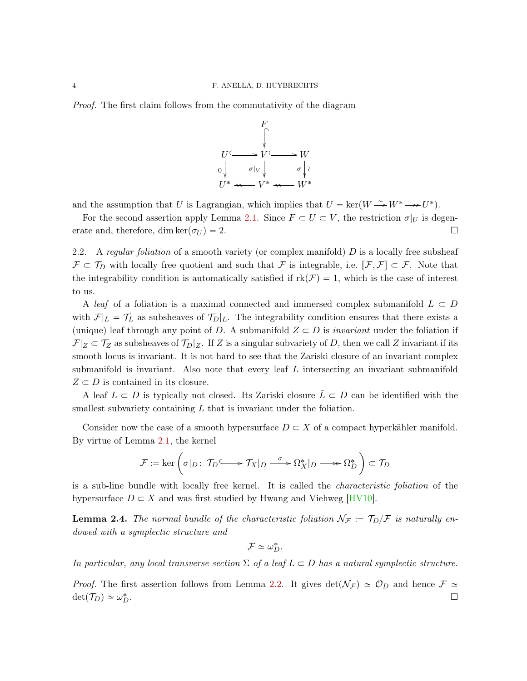<span id="page-3-2"></span>Proof. The first claim follows from the commutativity of the diagram



and the assumption that U is Lagrangian, which implies that  $U = \text{ker}(W \to W^* \to U^*)$ .

For the second assertion apply Lemma [2.1.](#page-2-0) Since  $F \subset U \subset V$ , the restriction  $\sigma|_U$  is degenerate and, therefore, dim ker $(\sigma_U) = 2$ .

<span id="page-3-1"></span>2.2. A regular foliation of a smooth variety (or complex manifold)  $D$  is a locally free subsheaf  $\mathcal{F} \subset \mathcal{T}_D$  with locally free quotient and such that F is integrable, i.e.  $[\mathcal{F}, \mathcal{F}] \subset \mathcal{F}$ . Note that the integrability condition is automatically satisfied if  $rk(\mathcal{F}) = 1$ , which is the case of interest to us.

A leaf of a foliation is a maximal connected and immersed complex submanifold  $L \subset D$ with  $\mathcal{F}|_L = \mathcal{T}_L$  as subsheaves of  $\mathcal{T}_D|_L$ . The integrability condition ensures that there exists a (unique) leaf through any point of D. A submanifold  $Z \subset D$  is *invariant* under the foliation if  $\mathcal{F}|_Z \subset \mathcal{T}_Z$  as subsheaves of  $\mathcal{T}_D|_Z$ . If Z is a singular subvariety of D, then we call Z invariant if its smooth locus is invariant. It is not hard to see that the Zariski closure of an invariant complex submanifold is invariant. Also note that every leaf L intersecting an invariant submanifold  $Z \subset D$  is contained in its closure.

A leaf  $L \subset D$  is typically not closed. Its Zariski closure  $\overline{L} \subset D$  can be identified with the smallest subvariety containing  $L$  that is invariant under the foliation.

Consider now the case of a smooth hypersurface  $D \subset X$  of a compact hyperkähler manifold. By virtue of Lemma [2.1,](#page-2-0) the kernel

$$
\mathcal{F} := \ker\left(\sigma|_{D}: \mathcal{T}_{D} \longrightarrow \mathcal{T}_{X}|_{D} \longrightarrow \Omega_{X}^{*}|_{D} \longrightarrow \Omega_{D}^{*}\right) \subset \mathcal{T}_{D}
$$

is a sub-line bundle with locally free kernel. It is called the characteristic foliation of the hypersurface  $D \subset X$  and was first studied by Hwang and Viehweg [\[HV10\]](#page-18-0).

<span id="page-3-0"></span>**Lemma 2.4.** The normal bundle of the characteristic foliation  $\mathcal{N}_{\mathcal{F}} := \mathcal{T}_{D}/\mathcal{F}$  is naturally endowed with a symplectic structure and

$$
\mathcal{F} \simeq \omega_D^*.
$$

In particular, any local transverse section  $\Sigma$  of a leaf  $L \subset D$  has a natural symplectic structure.

*Proof.* The first assertion follows from Lemma [2.2.](#page-2-1) It gives  $det(\mathcal{N}_{\mathcal{F}}) \simeq \mathcal{O}_D$  and hence  $\mathcal{F} \simeq$  $\det(\mathcal{T}_D) \simeq \omega_L^*$  $\overline{D}$ .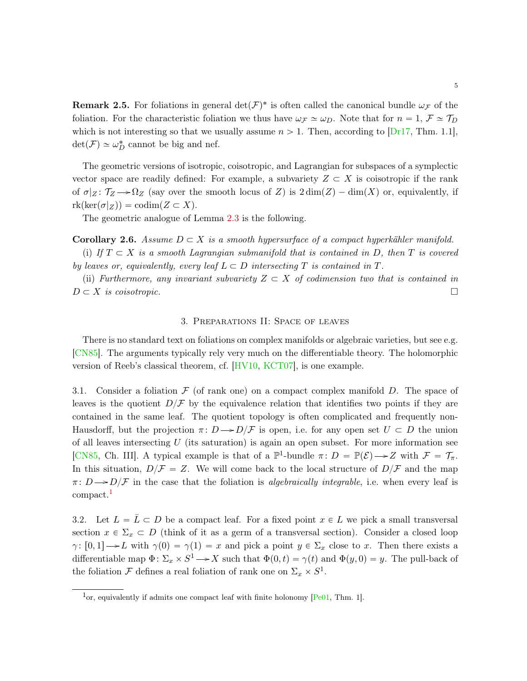<span id="page-4-4"></span>**Remark 2.5.** For foliations in general  $\det(\mathcal{F})^*$  is often called the canonical bundle  $\omega_{\mathcal{F}}$  of the foliation. For the characteristic foliation we thus have  $\omega_{\mathcal{F}} \simeq \omega_{D}$ . Note that for  $n = 1, \mathcal{F} \simeq \mathcal{T}_{D}$ which is not interesting so that we usually assume  $n > 1$ . Then, according to [\[Dr17,](#page-18-1) Thm. 1.1],  $\det(\mathcal{F}) \simeq \omega_D^*$  cannot be big and nef.

The geometric versions of isotropic, coisotropic, and Lagrangian for subspaces of a symplectic vector space are readily defined: For example, a subvariety  $Z \subset X$  is coisotropic if the rank of  $\sigma|_Z \colon \mathcal{T}_Z \longrightarrow \Omega_Z$  (say over the smooth locus of Z) is  $2 \dim(Z) - \dim(X)$  or, equivalently, if  $rk(\ker(\sigma|_Z)) = \text{codim}(Z \subset X).$ 

The geometric analogue of Lemma [2.3](#page-2-2) is the following.

<span id="page-4-3"></span>**Corollary 2.6.** Assume  $D \subset X$  is a smooth hypersurface of a compact hyperkähler manifold.

(i) If  $T \subset X$  is a smooth Lagrangian submanifold that is contained in D, then T is covered by leaves or, equivalently, every leaf  $L \subset D$  intersecting T is contained in T.

(ii) Furthermore, any invariant subvariety  $Z \subset X$  of codimension two that is contained in  $D \subset X$  is coisotropic.

### 3. Preparations II: Space of leaves

<span id="page-4-0"></span>There is no standard text on foliations on complex manifolds or algebraic varieties, but see e.g. [\[CN85\]](#page-17-3). The arguments typically rely very much on the differentiable theory. The holomorphic version of Reeb's classical theorem, cf. [\[HV10,](#page-18-0) [KCT07\]](#page-18-2), is one example.

3.1. Consider a foliation  $\mathcal F$  (of rank one) on a compact complex manifold D. The space of leaves is the quotient  $D/F$  by the equivalence relation that identifies two points if they are contained in the same leaf. The quotient topology is often complicated and frequently non-Hausdorff, but the projection  $\pi: D \to D/\mathcal{F}$  is open, i.e. for any open set  $U \subset D$  the union of all leaves intersecting  $U$  (its saturation) is again an open subset. For more information see [\[CN85,](#page-17-3) Ch. III]. A typical example is that of a  $\mathbb{P}^1$ -bundle  $\pi: D = \mathbb{P}(\mathcal{E}) \longrightarrow Z$  with  $\mathcal{F} = \mathcal{T}_{\pi}$ . In this situation,  $D/\mathcal{F} = Z$ . We will come back to the local structure of  $D/\mathcal{F}$  and the map  $\pi: D \rightarrow D/F$  in the case that the foliation is *algebraically integrable*, i.e. when every leaf is compact.[1](#page-4-1)

<span id="page-4-2"></span>3.2. Let  $L = \overline{L} \subset D$  be a compact leaf. For a fixed point  $x \in L$  we pick a small transversal section  $x \in \Sigma_x \subset D$  (think of it as a germ of a transversal section). Consider a closed loop  $\gamma: [0, 1] \to L$  with  $\gamma(0) = \gamma(1) = x$  and pick a point  $y \in \Sigma_x$  close to x. Then there exists a differentiable map  $\Phi: \Sigma_x \times S^1 \longrightarrow X$  such that  $\Phi(0, t) = \gamma(t)$  and  $\Phi(y, 0) = y$ . The pull-back of the foliation  $\mathcal F$  defines a real foliation of rank one on  $\Sigma_x \times S^1$ .

<span id="page-4-1"></span> $1_{\text{or}}$ , equivalently if admits one compact leaf with finite holonomy [\[Pe01,](#page-18-3) Thm. 1].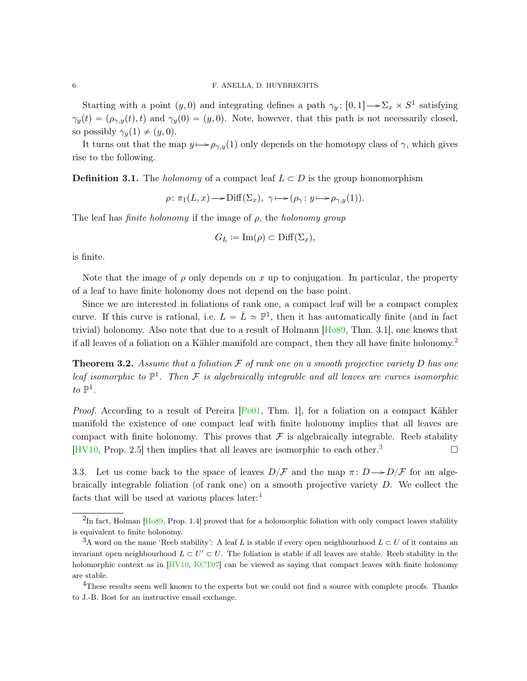<span id="page-5-4"></span>Starting with a point  $(y, 0)$  and integrating defines a path  $\gamma_y$ :  $[0, 1] \rightarrow \Sigma_x \times S^1$  satisfying  $\gamma_y(t) = (\rho_{\gamma,y}(t), t)$  and  $\gamma_y(0) = (y, 0)$ . Note, however, that this path is not necessarily closed, so possibly  $\gamma_y(1) \neq (y, 0)$ .

It turns out that the map  $y \mapsto \rho_{\gamma,y}(1)$  only depends on the homotopy class of  $\gamma$ , which gives rise to the following.

**Definition 3.1.** The *holonomy* of a compact leaf  $L \subset D$  is the group homomorphism

 $\rho: \pi_1(L, x) \longrightarrow \text{Diff}(\Sigma_x), \ \gamma \longmapsto (\rho_\gamma: y \longmapsto \rho_{\gamma, y}(1)).$ 

The leaf has *finite holonomy* if the image of  $\rho$ , the *holonomy group* 

$$
G_L \coloneqq \text{Im}(\rho) \subset \text{Diff}(\Sigma_x),
$$

is finite.

Note that the image of  $\rho$  only depends on x up to conjugation. In particular, the property of a leaf to have finite holonomy does not depend on the base point.

Since we are interested in foliations of rank one, a compact leaf will be a compact complex curve. If this curve is rational, i.e.  $L = \overline{L} \simeq \mathbb{P}^1$ , then it has automatically finite (and in fact trivial) holonomy. Also note that due to a result of Holmann [\[Ho89,](#page-18-4) Thm. 3.1], one knows that if all leaves of a foliation on a Kähler manifold are compact, then they all have finite holonomy.<sup>[2](#page-5-0)</sup>

<span id="page-5-3"></span>**Theorem 3.2.** Assume that a foliation  $\mathcal F$  of rank one on a smooth projective variety  $D$  has one leaf isomorphic to  $\mathbb{P}^1$ . Then F is algebraically integrable and all leaves are curves isomorphic to  $\mathbb{P}^1$ .

*Proof.* According to a result of Pereira  $[Pe01, Thm. 1]$  $[Pe01, Thm. 1]$ , for a foliation on a compact Kähler manifold the existence of one compact leaf with finite holonomy implies that all leaves are compact with finite holonomy. This proves that  $\mathcal F$  is algebraically integrable. Reeb stability [\[HV10,](#page-18-0) Prop. 2.5] then implies that all leaves are isomorphic to each other.<sup>[3](#page-5-1)</sup>

3.3. Let us come back to the space of leaves  $D/\mathcal{F}$  and the map  $\pi: D \longrightarrow D/\mathcal{F}$  for an algebraically integrable foliation (of rank one) on a smooth projective variety  $D$ . We collect the facts that will be used at various places later:[4](#page-5-2)

<span id="page-5-0"></span> ${}^{2}$ In fact, Holman [\[Ho89,](#page-18-4) Prop. 1.4] proved that for a holomorphic foliation with only compact leaves stability is equivalent to finite holonomy.

<span id="page-5-1"></span><sup>&</sup>lt;sup>3</sup>A word on the name 'Reeb stability': A leaf L is stable if every open neighbourhood  $L \subset U$  of it contains an invariant open neighbourhood  $L \subset U' \subset U$ . The foliation is stable if all leaves are stable. Reeb stability in the holomorphic context as in [\[HV10,](#page-18-0) [KCT07\]](#page-18-2) can be viewed as saying that compact leaves with finite holonomy are stable.

<span id="page-5-2"></span> $4$ These results seem well known to the experts but we could not find a source with complete proofs. Thanks to J.-B. Bost for an instructive email exchange.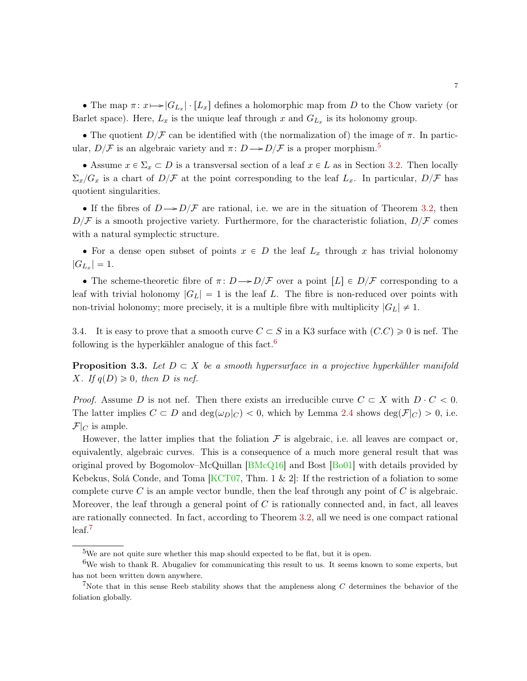<span id="page-6-4"></span>• The map  $\pi: x \mapsto |G_{L_x}| \cdot [L_x]$  defines a holomorphic map from D to the Chow variety (or Barlet space). Here,  $L_x$  is the unique leaf through x and  $G_{L_x}$  is its holonomy group.

• The quotient  $D/F$  can be identified with (the normalization of) the image of  $\pi$ . In particular,  $D/F$  is an algebraic variety and  $\pi: D \rightarrow D/F$  is a proper morphism.<sup>[5](#page-6-0)</sup>

• Assume  $x \in \Sigma_x \subset D$  is a transversal section of a leaf  $x \in L$  as in Section [3.2.](#page-4-2) Then locally  $\Sigma_x/G_x$  is a chart of  $D/\mathcal{F}$  at the point corresponding to the leaf  $L_x$ . In particular,  $D/\mathcal{F}$  has quotient singularities.

If the fibres of  $D \rightarrow D/\mathcal{F}$  are rational, i.e. we are in the situation of Theorem [3.2,](#page-5-3) then  $D/\mathcal{F}$  is a smooth projective variety. Furthermore, for the characteristic foliation,  $D/\mathcal{F}$  comes with a natural symplectic structure.

• For a dense open subset of points  $x \in D$  the leaf  $L_x$  through x has trivial holonomy  $|G_{L_x}| = 1.$ 

• The scheme-theoretic fibre of  $\pi: D \to D/F$  over a point  $[L] \in D/F$  corresponding to a leaf with trivial holonomy  $|G_L| = 1$  is the leaf L. The fibre is non-reduced over points with non-trivial holonomy; more precisely, it is a multiple fibre with multiplicity  $|G_L| \neq 1$ .

3.4. It is easy to prove that a smooth curve  $C \subset S$  in a K3 surface with  $(C.C) \geq 0$  is nef. The following is the hyperkähler analogue of this fact.<sup>[6](#page-6-1)</sup>

<span id="page-6-3"></span>**Proposition 3.3.** Let  $D \subset X$  be a smooth hypersurface in a projective hyperkähler manifold X. If  $q(D) \geq 0$ , then D is nef.

*Proof.* Assume D is not nef. Then there exists an irreducible curve  $C \subset X$  with  $D \cdot C < 0$ . The latter implies  $C \subset D$  and  $\deg(\omega_D|_C) < 0$ , which by Lemma [2.4](#page-3-0) shows  $\deg(\mathcal{F}|_C) > 0$ , i.e.  $\mathcal{F}|_C$  is ample.

However, the latter implies that the foliation  $\mathcal F$  is algebraic, i.e. all leaves are compact or, equivalently, algebraic curves. This is a consequence of a much more general result that was original proved by Bogomolov–McQuillan [\[BMcQ16\]](#page-17-4) and Bost [\[Bo01\]](#page-17-5) with details provided by Kebekus, Solá Conde, and Toma  $KCT07$ , Thm. 1 & 2. If the restriction of a foliation to some complete curve  $C$  is an ample vector bundle, then the leaf through any point of  $C$  is algebraic. Moreover, the leaf through a general point of  $C$  is rationally connected and, in fact, all leaves are rationally connected. In fact, according to Theorem [3.2,](#page-5-3) all we need is one compact rational leaf.[7](#page-6-2)

<span id="page-6-1"></span><span id="page-6-0"></span><sup>5</sup>We are not quite sure whether this map should expected to be flat, but it is open.

 $6W$ e wish to thank R. Abugaliev for communicating this result to us. It seems known to some experts, but has not been written down anywhere.

<span id="page-6-2"></span><sup>&</sup>lt;sup>7</sup>Note that in this sense Reeb stability shows that the ampleness along  $C$  determines the behavior of the foliation globally.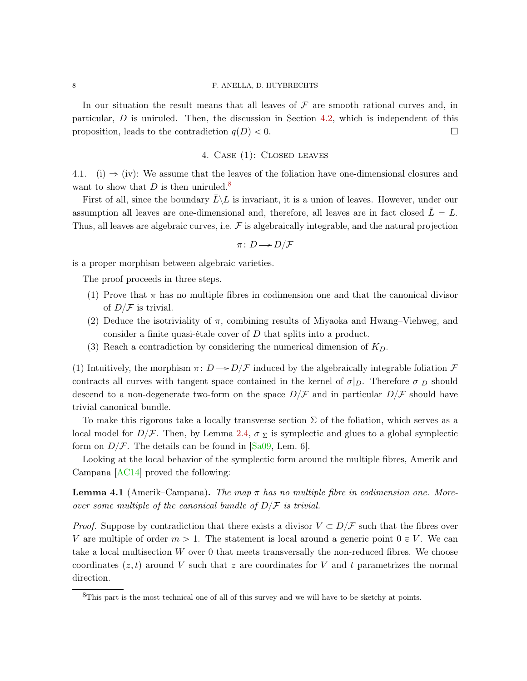### <span id="page-7-3"></span>8 F. ANELLA, D. HUYBRECHTS

In our situation the result means that all leaves of  $\mathcal F$  are smooth rational curves and, in particular, D is uniruled. Then, the discussion in Section [4.2,](#page-9-0) which is independent of this proposition, leads to the contradiction  $q(D) < 0$ .

## 4. Case (1): Closed leaves

<span id="page-7-2"></span><span id="page-7-0"></span>4.1. (i)  $\Rightarrow$  (iv): We assume that the leaves of the foliation have one-dimensional closures and want to show that  $D$  is then uniruled.<sup>[8](#page-7-1)</sup>

First of all, since the boundary  $L\backslash L$  is invariant, it is a union of leaves. However, under our assumption all leaves are one-dimensional and, therefore, all leaves are in fact closed  $L = L$ . Thus, all leaves are algebraic curves, i.e.  $\mathcal F$  is algebraically integrable, and the natural projection

$$
\pi\colon D\!\longrightarrow\! D/\mathcal{F}
$$

is a proper morphism between algebraic varieties.

The proof proceeds in three steps.

- (1) Prove that  $\pi$  has no multiple fibres in codimension one and that the canonical divisor of  $D/F$  is trivial.
- (2) Deduce the isotriviality of  $\pi$ , combining results of Miyaoka and Hwang–Viehweg, and consider a finite quasi-étale cover of D that splits into a product.
- (3) Reach a contradiction by considering the numerical dimension of  $K_D$ .

(1) Intuitively, the morphism  $\pi: D \rightarrow D/\mathcal{F}$  induced by the algebraically integrable foliation  $\mathcal F$ contracts all curves with tangent space contained in the kernel of  $\sigma|_D$ . Therefore  $\sigma|_D$  should descend to a non-degenerate two-form on the space  $D/\mathcal{F}$  and in particular  $D/\mathcal{F}$  should have trivial canonical bundle.

To make this rigorous take a locally transverse section  $\Sigma$  of the foliation, which serves as a local model for  $D/F$ . Then, by Lemma [2.4,](#page-3-0)  $\sigma|_{\Sigma}$  is symplectic and glues to a global symplectic form on  $D/F$ . The details can be found in [\[Sa09,](#page-18-5) Lem. 6].

Looking at the local behavior of the symplectic form around the multiple fibres, Amerik and Campana [\[AC14\]](#page-17-0) proved the following:

**Lemma 4.1** (Amerik–Campana). The map  $\pi$  has no multiple fibre in codimension one. Moreover some multiple of the canonical bundle of  $D/F$  is trivial.

*Proof.* Suppose by contradiction that there exists a divisor  $V \subset D/\mathcal{F}$  such that the fibres over V are multiple of order  $m > 1$ . The statement is local around a generic point  $0 \in V$ . We can take a local multisection W over 0 that meets transversally the non-reduced fibres. We choose coordinates  $(z, t)$  around V such that z are coordinates for V and t parametrizes the normal direction.

<span id="page-7-1"></span><sup>&</sup>lt;sup>8</sup>This part is the most technical one of all of this survey and we will have to be sketchy at points.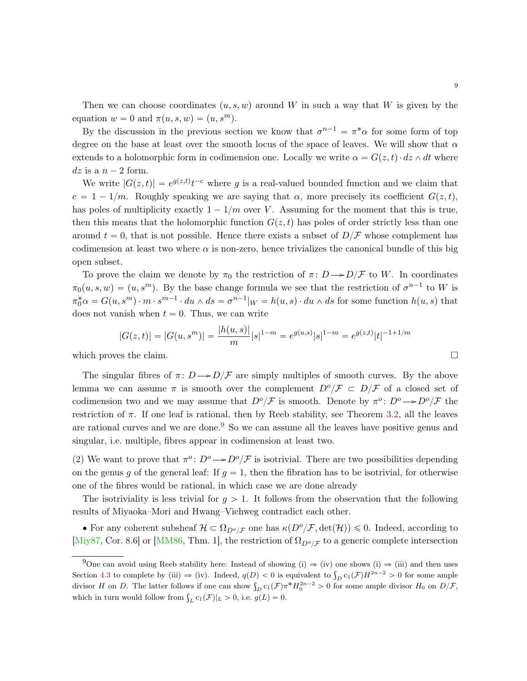<span id="page-8-1"></span>Then we can choose coordinates  $(u, s, w)$  around W in such a way that W is given by the equation  $w = 0$  and  $\pi(u, s, w) = (u, s^m)$ .

By the discussion in the previous section we know that  $\sigma^{n-1} = \pi^* \alpha$  for some form of top degree on the base at least over the smooth locus of the space of leaves. We will show that  $\alpha$ extends to a holomorphic form in codimension one. Locally we write  $\alpha = G(z, t) \cdot dz \wedge dt$  where  $dz$  is a  $n - 2$  form.

We write  $|G(z, t)| = e^{g(z, t)}t^{-c}$  where g is a real-valued bounded function and we claim that  $c = 1 - 1/m$ . Roughly speaking we are saying that  $\alpha$ , more precisely its coefficient  $G(z, t)$ , has poles of multiplicity exactly  $1 - 1/m$  over V. Assuming for the moment that this is true, then this means that the holomorphic function  $G(z, t)$  has poles of order strictly less than one around  $t = 0$ , that is not possible. Hence there exists a subset of  $D/F$  whose complement has codimension at least two where  $\alpha$  is non-zero, hence trivializes the canonical bundle of this big open subset.

To prove the claim we denote by  $\pi_0$  the restriction of  $\pi: D \rightarrow D/F$  to W. In coordinates  $\pi_0(u, s, w) = (u, s^m)$ . By the base change formula we see that the restriction of  $\sigma^{n-1}$  to W is  $\pi_0^*\alpha = G(u, s^m) \cdot m \cdot s^{m-1} \cdot du \wedge ds = \sigma^{n-1}|_W = h(u, s) \cdot du \wedge ds$  for some function  $h(u, s)$  that does not vanish when  $t = 0$ . Thus, we can write

$$
|G(z,t)| = |G(u,s^m)| = \frac{|h(u,s)|}{m}|s|^{1-m} = e^{g(u,s)}|s|^{1-m} = e^{g(z,t)}|t|^{-1+1/m}
$$
  
which proves the claim.

The singular fibres of  $\pi: D \rightarrow D/\mathcal{F}$  are simply multiples of smooth curves. By the above lemma we can assume  $\pi$  is smooth over the complement  $D^o/\mathcal{F} \subset D/\mathcal{F}$  of a closed set of codimension two and we may assume that  $D^o/\mathcal{F}$  is smooth. Denote by  $\pi^o: D^o \to D^o/\mathcal{F}$  the restriction of  $\pi$ . If one leaf is rational, then by Reeb stability, see Theorem [3.2,](#page-5-3) all the leaves are rational curves and we are done.<sup>[9](#page-8-0)</sup> So we can assume all the leaves have positive genus and singular, i.e. multiple, fibres appear in codimension at least two.

(2) We want to prove that  $\pi^o: D^o \to D^o/\mathcal{F}$  is isotrivial. There are two possibilities depending on the genus g of the general leaf: If  $g = 1$ , then the fibration has to be isotrivial, for otherwise one of the fibres would be rational, in which case we are done already

The isotriviality is less trivial for  $q > 1$ . It follows from the observation that the following results of Miyaoka–Mori and Hwang–Viehweg contradict each other.

• For any coherent subsheaf  $\mathcal{H} \subset \Omega_{D^o/\mathcal{F}}$  one has  $\kappa(D^o/\mathcal{F}, \det(\mathcal{H})) \leq 0$ . Indeed, according to [\[Miy87,](#page-18-6) Cor. 8.6] or [\[MM86,](#page-18-7) Thm. 1], the restriction of  $\Omega_{D^o/\mathcal{F}}$  to a generic complete intersection

<span id="page-8-0"></span><sup>&</sup>lt;sup>9</sup>One can avoid using Reeb stability here: Instead of showing (i)  $\Rightarrow$  (iv) one shows (i)  $\Rightarrow$  (iii) and then uses One can avoid using Reeb stability here: Instead of showing (1)  $\Rightarrow$  (iv) one shows (1)  $\Rightarrow$  (ii) and then uses Section [4.3](#page-10-0) to complete by (iii)  $\Rightarrow$  (iv). Indeed,  $q(D) < 0$  is equivalent to  $\int_D c_1(\mathcal{F}) H^{2n-2} > 0$  for so bection 4.3 to complete by (iii)  $\Rightarrow$  (iv). Indeed,  $q(D) < 0$  is equivalent to  $\int_D c_1(\mathcal{F})n \to 0$  for some ample divisor H<sub>0</sub> on D/F, divisor H<sub>0</sub> on D/F, which in turn would follow from  $\int_L c_1(\mathcal{F})|_L > 0$ , i.e.  $g(L) = 0$ .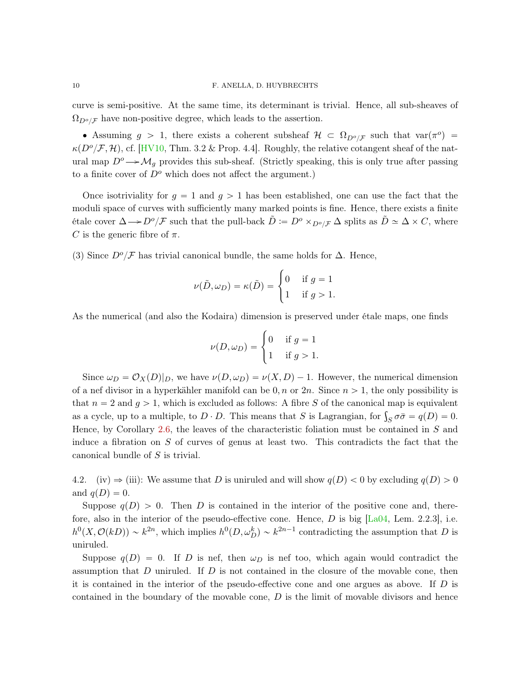<span id="page-9-1"></span>curve is semi-positive. At the same time, its determinant is trivial. Hence, all sub-sheaves of  $\Omega_{D^o/\mathcal{F}}$  have non-positive degree, which leads to the assertion.

• Assuming  $g > 1$ , there exists a coherent subsheaf  $\mathcal{H} \subset \Omega_{D^o/\mathcal{F}}$  such that  $var(\pi^o) =$  $\kappa(D^o/\mathcal{F}, \mathcal{H})$ , cf. [\[HV10,](#page-18-0) Thm. 3.2 & Prop. 4.4]. Roughly, the relative cotangent sheaf of the natural map  $D^{\circ} \rightarrow \mathcal{M}_g$  provides this sub-sheaf. (Strictly speaking, this is only true after passing to a finite cover of  $D^o$  which does not affect the argument.)

Once isotriviality for  $g = 1$  and  $g > 1$  has been established, one can use the fact that the moduli space of curves with sufficiently many marked points is fine. Hence, there exists a finite étale cover  $\Delta \rightarrow D^o/\mathcal{F}$  such that the pull-back  $\tilde{D} := D^o \times_{D^o/\mathcal{F}} \Delta$  splits as  $\tilde{D} \simeq \Delta \times C$ , where C is the generic fibre of  $\pi$ .

(3) Since  $D^o/\mathcal{F}$  has trivial canonical bundle, the same holds for  $\Delta$ . Hence,

$$
\nu(\tilde{D}, \omega_D) = \kappa(\tilde{D}) = \begin{cases} 0 & \text{if } g = 1 \\ 1 & \text{if } g > 1. \end{cases}
$$

As the numerical (and also the Kodaira) dimension is preserved under étale maps, one finds

$$
\nu(D,\omega_D) = \begin{cases} 0 & \text{if } g = 1 \\ 1 & \text{if } g > 1. \end{cases}
$$

Since  $\omega_D = \mathcal{O}_X(D)|_D$ , we have  $\nu(D, \omega_D) = \nu(X, D) - 1$ . However, the numerical dimension of a nef divisor in a hyperkähler manifold can be  $0, n$  or  $2n$ . Since  $n > 1$ , the only possibility is that  $n = 2$  and  $q > 1$ , which is excluded as follows: A fibre S of the canonical map is equivalent that  $n = 2$  and  $g > 1$ , which is excluded as follows: A fibre S of the canonical map is equivalent<br>as a cycle, up to a multiple, to  $D \cdot D$ . This means that S is Lagrangian, for  $\int_S \sigma \bar{\sigma} = q(D) = 0$ . Hence, by Corollary [2.6,](#page-4-3) the leaves of the characteristic foliation must be contained in  $S$  and induce a fibration on S of curves of genus at least two. This contradicts the fact that the canonical bundle of S is trivial.

<span id="page-9-0"></span>4.2. (iv)  $\Rightarrow$  (iii): We assume that D is uniruled and will show  $q(D) < 0$  by excluding  $q(D) > 0$ and  $q(D) = 0$ .

Suppose  $q(D) > 0$ . Then D is contained in the interior of the positive cone and, therefore, also in the interior of the pseudo-effective cone. Hence,  $D$  is big  $[La04, Lem. 2.2.3]$  $[La04, Lem. 2.2.3]$ , i.e.  $h^0(X, \mathcal{O}(k)) \sim k^{2n}$ , which implies  $h^0(D, \omega_D^k) \sim k^{2n-1}$  contradicting the assumption that D is uniruled.

Suppose  $q(D) = 0$ . If D is nef, then  $\omega_D$  is nef too, which again would contradict the assumption that D uniruled. If D is not contained in the closure of the movable cone, then it is contained in the interior of the pseudo-effective cone and one argues as above. If  $D$  is contained in the boundary of the movable cone,  $D$  is the limit of movable divisors and hence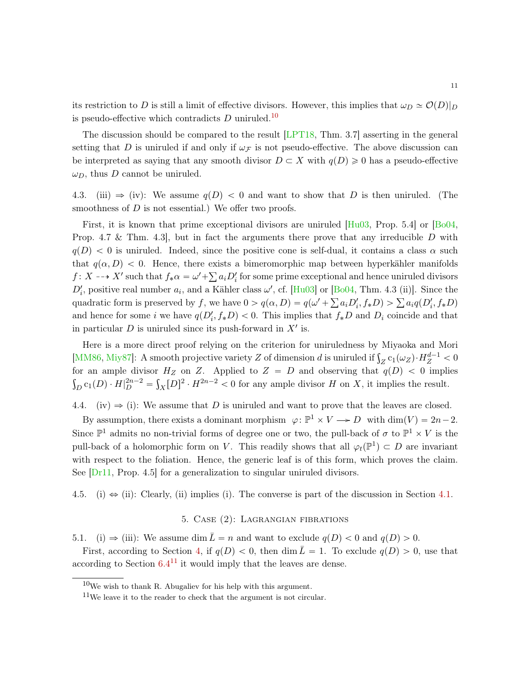<span id="page-10-6"></span>its restriction to D is still a limit of effective divisors. However, this implies that  $\omega_D \simeq \mathcal{O}(D)|_D$ is pseudo-effective which contradicts  $D$  uniruled.<sup>[10](#page-10-4)</sup>

The discussion should be compared to the result [\[LPT18,](#page-18-9) Thm. 3.7] asserting in the general setting that D is uniruled if and only if  $\omega_{\mathcal{F}}$  is not pseudo-effective. The above discussion can be interpreted as saying that any smooth divisor  $D \subset X$  with  $q(D) \geq 0$  has a pseudo-effective  $\omega_D$ , thus D cannot be uniruled.

<span id="page-10-0"></span>4.3. (iii)  $\Rightarrow$  (iv): We assume  $q(D) < 0$  and want to show that D is then uniruled. (The smoothness of  $D$  is not essential.) We offer two proofs.

First, it is known that prime exceptional divisors are uniruled  $[Hu03, Prop. 5.4]$  $[Hu03, Prop. 5.4]$  or  $[Bo04,$ Prop. 4.7 & Thm. 4.3, but in fact the arguments there prove that any irreducible D with  $q(D) < 0$  is uniruled. Indeed, since the positive cone is self-dual, it contains a class  $\alpha$  such that  $q(\alpha, D) < 0$ . Hence, there exists a bimeromorphic map between hyperkähler manifolds f:  $X \dashrightarrow X'$  such that  $f_*\alpha = \omega' + \sum a_i D'_i$  for some prime exceptional and hence uniruled divisors  $D'_i$ , positive real number  $a_i$ , and a Kähler class  $\omega'$ , cf. [\[Hu03\]](#page-18-10) or [\[Bo04,](#page-17-6) Thm. 4.3 (ii)]. Since the  $D_i$ , positive real number  $a_i$ , and a Kamer class  $\omega$ , cf. [Huo5] or [Bo04, 1 nm. 4.5 (ii)]. Since the quadratic form is preserved by f, we have  $0 > q(\alpha, D) = q(\omega' + \sum a_i D'_i, f * D) > \sum a_i q(D'_i, f * D)$ and hence for some i we have  $q(D_i', f * D) < 0$ . This implies that  $f * D$  and  $D_i$  coincide and that in particular  $D$  is uniruled since its push-forward in  $X'$  is.

Here is a more direct proof relying on the criterion for uniruledness by Miyaoka and Mori Here is a more direct proof relying on the criterion for uniruledness by Miyaoka and Mori<br>[\[MM86,](#page-18-7) [Miy87\]](#page-18-6): A smooth projective variety Z of dimension d is uniruled if  $\int_Z c_1(\omega_Z) \cdot H_Z^{d-1} < 0$ for an ample divisor  $H_Z$  on Z. Applied to  $Z = D$  and observing that  $q(D) < 0$  implies  $D_{D} c_{1}(D) \cdot H|_{D}^{2n-2} = \int_{X} [D]^{2} \cdot H^{2n-2} < 0$  for any ample divisor H on X, it implies the result.

<span id="page-10-1"></span>4.4. (iv)  $\Rightarrow$  (i): We assume that D is uniruled and want to prove that the leaves are closed.

By assumption, there exists a dominant morphism  $\varphi \colon \mathbb{P}^1 \times V \to D$  with  $\dim(V) = 2n - 2$ . Since  $\mathbb{P}^1$  admits no non-trivial forms of degree one or two, the pull-back of  $\sigma$  to  $\mathbb{P}^1 \times V$  is the pull-back of a holomorphic form on V. This readily shows that all  $\varphi_t(\mathbb{P}^1) \subset D$  are invariant with respect to the foliation. Hence, the generic leaf is of this form, which proves the claim. See [\[Dr11,](#page-18-11) Prop. 4.5] for a generalization to singular uniruled divisors.

<span id="page-10-2"></span>4.5. (i)  $\Rightarrow$  (ii): Clearly, (ii) implies (i). The converse is part of the discussion in Section [4.1.](#page-7-0)

# 5. Case (2): Lagrangian fibrations

<span id="page-10-3"></span>5.1. (i)  $\Rightarrow$  (iii): We assume dim  $\overline{L} = n$  and want to exclude  $q(D) < 0$  and  $q(D) > 0$ .

First, according to Section [4,](#page-7-2) if  $q(D) < 0$ , then dim  $\overline{L} = 1$ . To exclude  $q(D) > 0$ , use that according to Section  $6.4^{11}$  $6.4^{11}$  $6.4^{11}$  $6.4^{11}$  it would imply that the leaves are dense.

<span id="page-10-4"></span> $10$ We wish to thank R. Abugaliev for his help with this argument.

<span id="page-10-5"></span> $11$ We leave it to the reader to check that the argument is not circular.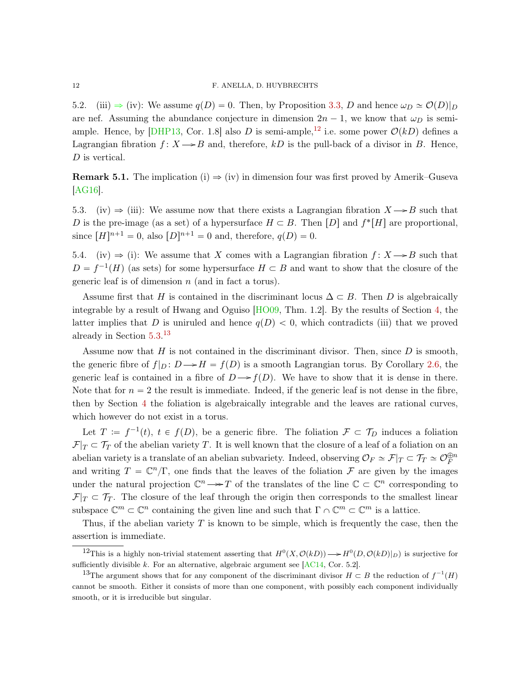<span id="page-11-5"></span><span id="page-11-0"></span>5.2. (iii)  $\Rightarrow$  (iv): We assume  $q(D) = 0$ . Then, by Proposition [3.3,](#page-6-3) D and hence  $\omega_D \simeq \mathcal{O}(D)|_D$ are nef. Assuming the abundance conjecture in dimension  $2n - 1$ , we know that  $\omega_D$  is semi-ample. Hence, by [\[DHP13,](#page-18-12) Cor. 1.8] also D is semi-ample,<sup>[12](#page-11-3)</sup> i.e. some power  $\mathcal{O}(kD)$  defines a Lagrangian fibration  $f: X \rightarrow B$  and, therefore, kD is the pull-back of a divisor in B. Hence, D is vertical.

**Remark 5.1.** The implication (i)  $\Rightarrow$  (iv) in dimension four was first proved by Amerik–Guseva [\[AG16\]](#page-17-7).

<span id="page-11-1"></span>5.3. (iv)  $\Rightarrow$  (iii): We assume now that there exists a Lagrangian fibration  $X \rightarrow B$  such that D is the pre-image (as a set) of a hypersurface  $H \subset B$ . Then  $[D]$  and  $f^*[H]$  are proportional, since  $[H]^{n+1} = 0$ , also  $[D]^{n+1} = 0$  and, therefore,  $q(D) = 0$ .

<span id="page-11-2"></span>5.4. (iv)  $\Rightarrow$  (i): We assume that X comes with a Lagrangian fibration  $f : X \rightarrow B$  such that  $D = f^{-1}(H)$  (as sets) for some hypersurface  $H \subset B$  and want to show that the closure of the generic leaf is of dimension  $n$  (and in fact a torus).

Assume first that H is contained in the discriminant locus  $\Delta \subset B$ . Then D is algebraically integrable by a result of Hwang and Oguiso [\[HO09,](#page-18-13) Thm. 1.2]. By the results of Section [4,](#page-7-2) the latter implies that D is uniruled and hence  $q(D) < 0$ , which contradicts (iii) that we proved already in Section [5.3.](#page-11-1) [13](#page-11-4)

Assume now that  $H$  is not contained in the discriminant divisor. Then, since  $D$  is smooth, the generic fibre of  $f|_D : D \to H = f(D)$  is a smooth Lagrangian torus. By Corollary [2.6,](#page-4-3) the generic leaf is contained in a fibre of  $D \rightarrow f(D)$ . We have to show that it is dense in there. Note that for  $n = 2$  the result is immediate. Indeed, if the generic leaf is not dense in the fibre, then by Section [4](#page-7-2) the foliation is algebraically integrable and the leaves are rational curves, which however do not exist in a torus.

Let  $T := f^{-1}(t), t \in f(D)$ , be a generic fibre. The foliation  $\mathcal{F} \subset \mathcal{T}_D$  induces a foliation  $\mathcal{F}|_T \subset \mathcal{T}_T$  of the abelian variety T. It is well known that the closure of a leaf of a foliation on an abelian variety is a translate of an abelian subvariety. Indeed, observing  $\mathcal{O}_F \simeq \mathcal{F}|_T \subset \mathcal{T}_T \simeq \mathcal{O}_F^{\oplus n}$ and writing  $T = \mathbb{C}^n/\Gamma$ , one finds that the leaves of the foliation  $\mathcal F$  are given by the images under the natural projection  $\mathbb{C}^n \longrightarrow T$  of the translates of the line  $\mathbb{C} \subset \mathbb{C}^n$  corresponding to  $\mathcal{F}|_T \subset \mathcal{T}_T$ . The closure of the leaf through the origin then corresponds to the smallest linear subspace  $\mathbb{C}^m \subset \mathbb{C}^n$  containing the given line and such that  $\Gamma \cap \mathbb{C}^m \subset \mathbb{C}^m$  is a lattice.

Thus, if the abelian variety  $T$  is known to be simple, which is frequently the case, then the assertion is immediate.

<span id="page-11-3"></span><sup>&</sup>lt;sup>12</sup>This is a highly non-trivial statement asserting that  $H^0(X, \mathcal{O}(kD)) \longrightarrow H^0(D, \mathcal{O}(kD)|_D)$  is surjective for sufficiently divisible  $k$ . For an alternative, algebraic argument see [\[AC14,](#page-17-0) Cor. 5.2].

<span id="page-11-4"></span><sup>&</sup>lt;sup>13</sup>The argument shows that for any component of the discriminant divisor  $H \subset B$  the reduction of  $f^{-1}(H)$ cannot be smooth. Either it consists of more than one component, with possibly each component individually smooth, or it is irreducible but singular.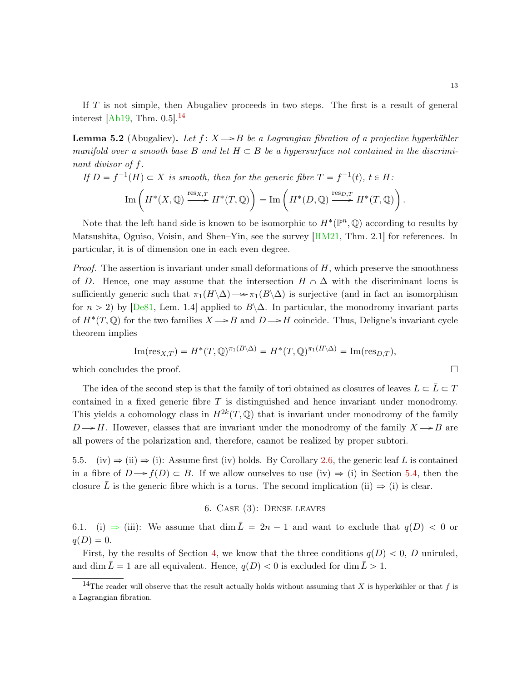<span id="page-12-3"></span>If T is not simple, then Abugaliev proceeds in two steps. The first is a result of general interest [\[Ab19,](#page-17-1) Thm.  $0.5$ ].<sup>[14](#page-12-2)</sup>

**Lemma 5.2** (Abugaliev). Let  $f: X \rightarrow B$  be a Lagrangian fibration of a projective hyperkähler manifold over a smooth base B and let  $H \subset B$  be a hypersurface not contained in the discriminant divisor of f.

If 
$$
D = f^{-1}(H) \subset X
$$
 is smooth, then for the generic fibre  $T = f^{-1}(t)$ ,  $t \in H$ :  
\n
$$
\operatorname{Im} \left( H^*(X, \mathbb{Q}) \xrightarrow{\operatorname{res}_{X,T}} H^*(T, \mathbb{Q}) \right) = \operatorname{Im} \left( H^*(D, \mathbb{Q}) \xrightarrow{\operatorname{res}_{D,T}} H^*(T, \mathbb{Q}) \right).
$$

Note that the left hand side is known to be isomorphic to  $H^*(\mathbb{P}^n, \mathbb{Q})$  according to results by Matsushita, Oguiso, Voisin, and Shen–Yin, see the survey  $[HM21, Thm. 2.1]$  $[HM21, Thm. 2.1]$  for references. In particular, it is of dimension one in each even degree.

*Proof.* The assertion is invariant under small deformations of  $H$ , which preserve the smoothness of D. Hence, one may assume that the intersection  $H \cap \Delta$  with the discriminant locus is sufficiently generic such that  $\pi_1(H \setminus \Delta) \rightarrow \pi_1(B \setminus \Delta)$  is surjective (and in fact an isomorphism for  $n > 2$ ) by [\[De81,](#page-17-8) Lem. 1.4] applied to  $B\Delta$ . In particular, the monodromy invariant parts of  $H^*(T, \mathbb{Q})$  for the two families  $X \rightarrow B$  and  $D \rightarrow H$  coincide. Thus, Deligne's invariant cycle theorem implies

Im(res<sub>X,T</sub>) = 
$$
H^*(T, \mathbb{Q})^{\pi_1(B \setminus \Delta)} = H^*(T, \mathbb{Q})^{\pi_1(H \setminus \Delta)} = \text{Im}(\text{res}_{D,T}),
$$

which concludes the proof.

The idea of the second step is that the family of tori obtained as closures of leaves  $L \subset \overline{L} \subset T$ contained in a fixed generic fibre  $T$  is distinguished and hence invariant under monodromy. This yields a cohomology class in  $H^{2k}(T,\mathbb{Q})$  that is invariant under monodromy of the family  $D \rightarrow H$ . However, classes that are invariant under the monodromy of the family  $X \rightarrow B$  are all powers of the polarization and, therefore, cannot be realized by proper subtori.

<span id="page-12-0"></span>5.5. (iv)  $\Rightarrow$  (ii)  $\Rightarrow$  (i): Assume first (iv) holds. By Corollary [2.6,](#page-4-3) the generic leaf L is contained in a fibre of  $D \rightarrow f(D) \subset B$ . If we allow ourselves to use (iv)  $\Rightarrow$  (i) in Section [5.4,](#page-11-2) then the closure L is the generic fibre which is a torus. The second implication (ii)  $\Rightarrow$  (i) is clear.

# 6. Case (3): Dense leaves

<span id="page-12-1"></span>6.1. (i)  $\Rightarrow$  (iii): We assume that dim  $\overline{L} = 2n - 1$  and want to exclude that  $q(D) < 0$  or  $q(D) = 0.$ 

First, by the results of Section [4,](#page-7-2) we know that the three conditions  $q(D) < 0$ , D uniruled, and dim  $\bar{L} = 1$  are all equivalent. Hence,  $q(D) < 0$  is excluded for dim  $\bar{L} > 1$ .

<span id="page-12-2"></span><sup>&</sup>lt;sup>14</sup>The reader will observe that the result actually holds without assuming that X is hyperkähler or that f is a Lagrangian fibration.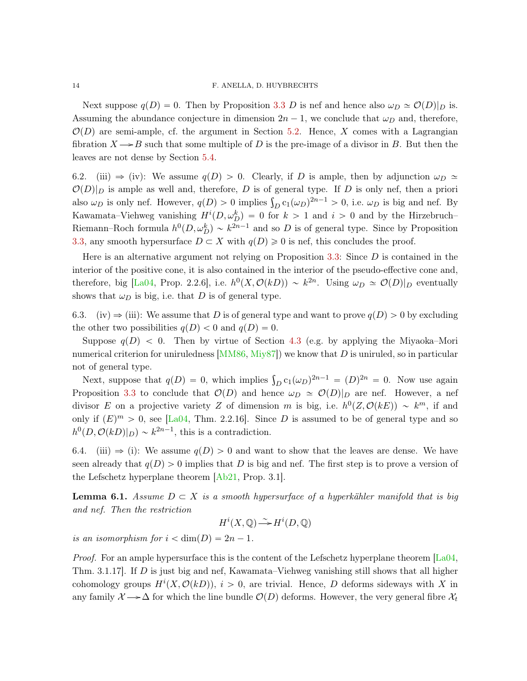Next suppose  $q(D) = 0$ . Then by Proposition [3.3](#page-6-3) D is nef and hence also  $\omega_D \simeq \mathcal{O}(D)|_D$  is. Assuming the abundance conjecture in dimension  $2n - 1$ , we conclude that  $\omega_D$  and, therefore,  $\mathcal{O}(D)$  are semi-ample, cf. the argument in Section [5.2.](#page-11-0) Hence, X comes with a Lagrangian fibration  $X \rightarrow B$  such that some multiple of D is the pre-image of a divisor in B. But then the leaves are not dense by Section [5.4.](#page-11-2)

<span id="page-13-0"></span>6.2. (iii)  $\Rightarrow$  (iv): We assume  $q(D) > 0$ . Clearly, if D is ample, then by adjunction  $\omega_D \simeq$  $\mathcal{O}(D)|_D$  is ample as well and, therefore, D is of general type. If D is only nef, then a priori  $\mathcal{O}(D)|_D$  is ample as well and, therefore, D is of general type. If D is only nef, then a prioripolate also  $\omega_D$  is only nef. However,  $q(D) > 0$  implies  $\int_D c_1(\omega_D)^{2n-1} > 0$ , i.e.  $\omega_D$  is big and nef. By Kawamata–Viehweg vanishing  $H^{i}(D, \omega_{D}^{k}) = 0$  for  $k > 1$  and  $i > 0$  and by the Hirzebruch– Riemann–Roch formula  $h^0(D, \omega_D^k) \sim k^{2n-1}$  and so D is of general type. Since by Proposition [3.3,](#page-6-3) any smooth hypersurface  $D \subset X$  with  $q(D) \geq 0$  is nef, this concludes the proof.

Here is an alternative argument not relying on Proposition  $3.3$ : Since  $D$  is contained in the interior of the positive cone, it is also contained in the interior of the pseudo-effective cone and, therefore, big [\[La04,](#page-18-8) Prop. 2.2.6], i.e.  $h^0(X, \mathcal{O}(kD)) \sim k^{2n}$ . Using  $\omega_D \simeq \mathcal{O}(D)|_D$  eventually shows that  $\omega_D$  is big, i.e. that D is of general type.

<span id="page-13-1"></span>6.3. (iv)  $\Rightarrow$  (iii): We assume that D is of general type and want to prove  $q(D) > 0$  by excluding the other two possibilities  $q(D) < 0$  and  $q(D) = 0$ .

Suppose  $q(D) < 0$ . Then by virtue of Section [4.3](#page-10-0) (e.g. by applying the Miyaoka–Mori numerical criterion for uniruledness  $[MM86, Miy87]$  $[MM86, Miy87]$  $[MM86, Miy87]$  we know that D is uniruled, so in particular not of general type.

t or general type.<br>Next, suppose that  $q(D) = 0$ , which implies  $\int_D c_1(\omega_D)^{2n-1} = (D)^{2n} = 0$ . Now use again Proposition [3.3](#page-6-3) to conclude that  $\mathcal{O}(D)$  and hence  $\omega_D \simeq \mathcal{O}(D)|_D$  are nef. However, a nef divisor E on a projective variety Z of dimension m is big, i.e.  $h^0(Z, \mathcal{O}(kE)) \sim k^m$ , if and only if  $(E)^m > 0$ , see [\[La04,](#page-18-8) Thm. 2.2.16]. Since D is assumed to be of general type and so  $h^0(D, \mathcal{O}(kD)|_D) \sim k^{2n-1}$ , this is a contradiction.

<span id="page-13-2"></span>6.4. (iii)  $\Rightarrow$  (i): We assume  $q(D) > 0$  and want to show that the leaves are dense. We have seen already that  $q(D) > 0$  implies that D is big and nef. The first step is to prove a version of the Lefschetz hyperplane theorem [\[Ab21,](#page-17-2) Prop. 3.1].

<span id="page-13-3"></span>**Lemma 6.1.** Assume  $D \subset X$  is a smooth hypersurface of a hyperkähler manifold that is big and nef. Then the restriction

$$
H^i(X, \mathbb{Q}) \longrightarrow H^i(D, \mathbb{Q})
$$

is an isomorphism for  $i < dim(D) = 2n - 1$ .

*Proof.* For an ample hypersurface this is the content of the Lefschetz hyperplane theorem  $[La04,$ Thm. 3.1.17]. If D is just big and nef, Kawamata–Viehweg vanishing still shows that all higher cohomology groups  $H^{i}(X, \mathcal{O}(kD))$ ,  $i > 0$ , are trivial. Hence, D deforms sideways with X in any family  $\mathcal{X} \longrightarrow \Delta$  for which the line bundle  $\mathcal{O}(D)$  deforms. However, the very general fibre  $\mathcal{X}_t$ 

<span id="page-13-4"></span>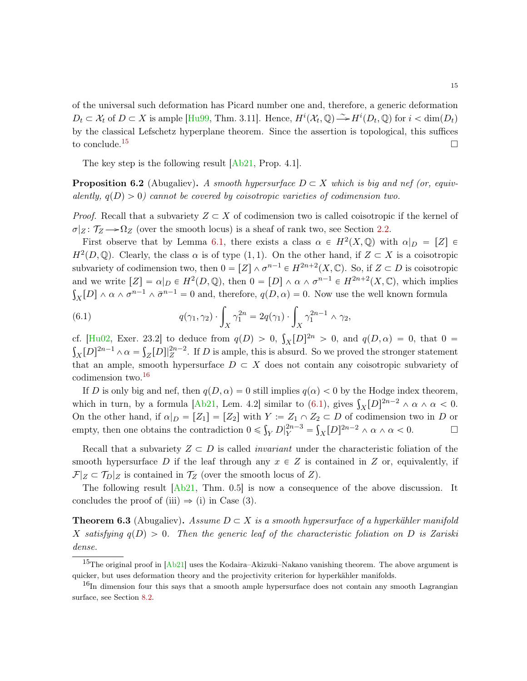<span id="page-14-5"></span>of the universal such deformation has Picard number one and, therefore, a generic deformation  $D_t \subset \mathcal{X}_t$  of  $D \subset X$  is ample [\[Hu99,](#page-18-15) Thm. 3.11]. Hence,  $H^i(\mathcal{X}_t, \mathbb{Q}) \longrightarrow H^i(D_t, \mathbb{Q})$  for  $i < \dim(D_t)$ by the classical Lefschetz hyperplane theorem. Since the assertion is topological, this suffices to conclude.<sup>[15](#page-14-0)</sup>

The key step is the following result [\[Ab21,](#page-17-2) Prop. 4.1].

<span id="page-14-3"></span>**Proposition 6.2** (Abugaliev). A smooth hypersurface  $D \subset X$  which is big and nef (or, equivalently,  $q(D) > 0$  cannot be covered by coisotropic varieties of codimension two.

*Proof.* Recall that a subvariety  $Z \subset X$  of codimension two is called coisotropic if the kernel of  $\sigma|_Z: \mathcal{T}_Z \longrightarrow \Omega_Z$  (over the smooth locus) is a sheaf of rank two, see Section [2.2.](#page-3-1)

First observe that by Lemma [6.1,](#page-13-3) there exists a class  $\alpha \in H^2(X, \mathbb{Q})$  with  $\alpha|_D = [Z] \in$  $H^2(D, \mathbb{Q})$ . Clearly, the class  $\alpha$  is of type  $(1, 1)$ . On the other hand, if  $Z \subset X$  is a coisotropic subvariety of codimension two, then  $0 = [Z] \wedge \sigma^{n-1} \in H^{2n+2}(X, \mathbb{C})$ . So, if  $Z \subset D$  is coisotropic and we write  $[Z] = \alpha|_D \in H^2(D, \mathbb{Q})$ , then  $0 = [D] \wedge \alpha \wedge \sigma^{n-1} \in H^{2n+2}(X, \mathbb{C})$ , which implies  $R_X[D] \wedge \alpha \wedge \sigma^{n-1} \wedge \bar{\sigma}^{n-1} = 0$  and, therefore,  $q(D, \alpha) = 0$ . Now use the well known formula

<span id="page-14-2"></span>(6.1) 
$$
q(\gamma_1, \gamma_2) \cdot \int_X \gamma_1^{2n} = 2q(\gamma_1) \cdot \int_X \gamma_1^{2n-1} \wedge \gamma_2,
$$

cf. [\[Hu02,](#page-18-16) Exer. 23.2] to deduce from  $q(D) > 0$ , cf. [Hu02, Exer. 23.2] to deduce from  $q(D) > 0$ ,  $\int_X [D]^{2n} > 0$ , and  $q(D, \alpha) = 0$ , that  $0 =$  $\chi[D]^{2n-1} \wedge \alpha = \int_Z[D]|_Z^{2n-2}$ . If D is ample, this is absurd. So we proved the stronger statement that an ample, smooth hypersurface  $D \subset X$  does not contain any coisotropic subvariety of codimension two.[16](#page-14-1)

If D is only big and nef, then  $q(D, \alpha) = 0$  still implies  $q(\alpha) < 0$  by the Hodge index theorem, If D is only big and net, then  $q(D, \alpha) = 0$  still implies  $q(\alpha) < 0$  by the Hodge mask theorem,<br>which in turn, by a formula [\[Ab21,](#page-17-2) Lem. 4.2] similar to [\(6.1\)](#page-14-2), gives  $\int_X [D]^{2n-2} \wedge \alpha \wedge \alpha < 0$ . On the other hand, if  $\alpha|_D = [Z_1] = [Z_2]$  with  $Y := Z_1 \cap Z_2 \subset D$  of codimension two in D or empty, then one obtains the contradiction  $0 \leq \int_Y D_Y^{\{2n-3\}} = \int_X [D]^{2n-2} \wedge \alpha \wedge \alpha < 0.$ 

Recall that a subvariety  $Z \subset D$  is called *invariant* under the characteristic foliation of the smooth hypersurface D if the leaf through any  $x \in Z$  is contained in Z or, equivalently, if  $\mathcal{F}|_Z \subset \mathcal{T}_D|_Z$  is contained in  $\mathcal{T}_Z$  (over the smooth locus of  $Z$ ).

The following result  $[Ab21, Thm. 0.5]$  $[Ab21, Thm. 0.5]$  is now a consequence of the above discussion. It concludes the proof of (iii)  $\Rightarrow$  (i) in Case (3).

<span id="page-14-4"></span>**Theorem 6.3** (Abugaliev). Assume  $D \subset X$  is a smooth hypersurface of a hyperkähler manifold X satisfying  $q(D) > 0$ . Then the generic leaf of the characteristic foliation on D is Zariski dense.

<span id="page-14-0"></span><sup>&</sup>lt;sup>15</sup>The original proof in  $[Ab21]$  uses the Kodaira–Akizuki–Nakano vanishing theorem. The above argument is quicker, but uses deformation theory and the projectivity criterion for hyperkähler manifolds.

<span id="page-14-1"></span><sup>&</sup>lt;sup>16</sup>In dimension four this says that a smooth ample hypersurface does not contain any smooth Lagrangian surface, see Section [8.2.](#page-16-0)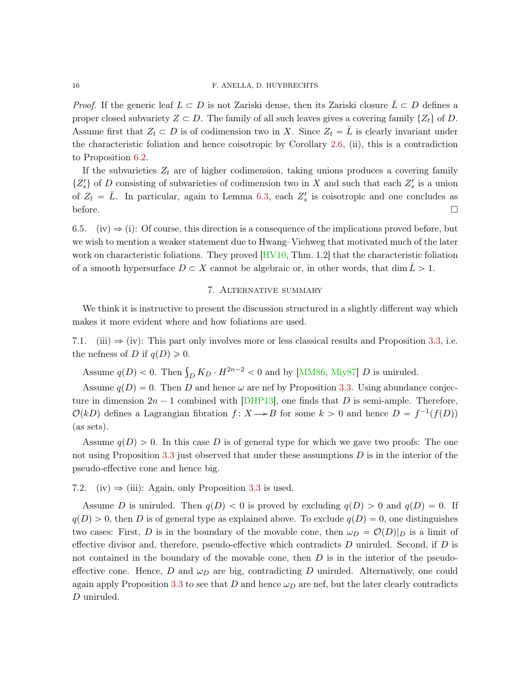### <span id="page-15-1"></span>16 F. ANELLA, D. HUYBRECHTS

*Proof.* If the generic leaf  $L \subset D$  is not Zariski dense, then its Zariski closure  $\bar{L} \subset D$  defines a proper closed subvariety  $Z \subset D$ . The family of all such leaves gives a covering family  $\{Z_t\}$  of D. Assume first that  $Z_t \subset D$  is of codimension two in X. Since  $Z_t = L$  is clearly invariant under the characteristic foliation and hence coisotropic by Corollary [2.6,](#page-4-3) (ii), this is a contradiction to Proposition [6.2.](#page-14-3)

If the subvarieties  $Z_t$  are of higher codimension, taking unions produces a covering family  $\{Z_s\}$  of D consisting of subvarieties of codimension two in X and such that each  $Z_s$  is a union of  $Z_t = \bar{L}$ . In particular, again to Lemma [6.3,](#page-14-4) each  $Z_s$  is coisotropic and one concludes as before.  $\Box$ 

<span id="page-15-0"></span>6.5. (iv)  $\Rightarrow$  (i): Of course, this direction is a consequence of the implications proved before, but we wish to mention a weaker statement due to Hwang–Viehweg that motivated much of the later work on characteristic foliations. They proved [\[HV10,](#page-18-0) Thm. 1.2] that the characteristic foliation of a smooth hypersurface  $D \subset X$  cannot be algebraic or, in other words, that dim  $L > 1$ .

## 7. Alternative summary

We think it is instructive to present the discussion structured in a slightly different way which makes it more evident where and how foliations are used.

7.1. (iii)  $\Rightarrow$  (iv): This part only involves more or less classical results and Proposition [3.3,](#page-6-3) i.e. the nefness of D if  $q(D) \geq 0$ .

Assume  $q(D) < 0$ . Then  $\int_D K_D \cdot H^{2n-2} < 0$  and by [\[MM86,](#page-18-7) [Miy87\]](#page-18-6) D is uniruled.

Assume  $q(D) = 0$ . Then D and hence  $\omega$  are nef by Proposition [3.3.](#page-6-3) Using abundance conjecture in dimension  $2n - 1$  combined with [\[DHP13\]](#page-18-12), one finds that D is semi-ample. Therefore,  $\mathcal{O}(k)$  defines a Lagrangian fibration  $f : X \rightarrow B$  for some  $k > 0$  and hence  $D = f^{-1}(f(D))$ (as sets).

Assume  $q(D) > 0$ . In this case D is of general type for which we gave two proofs: The one not using Proposition [3.3](#page-6-3) just observed that under these assumptions  $D$  is in the interior of the pseudo-effective cone and hence big.

7.2. (iv)  $\Rightarrow$  (iii): Again, only Proposition [3.3](#page-6-3) is used.

Assume D is uniruled. Then  $q(D) < 0$  is proved by excluding  $q(D) > 0$  and  $q(D) = 0$ . If  $q(D) > 0$ , then D is of general type as explained above. To exclude  $q(D) = 0$ , one distinguishes two cases: First, D is in the boundary of the movable cone, then  $\omega_D = \mathcal{O}(D)|_D$  is a limit of effective divisor and, therefore, pseudo-effective which contradicts  $D$  uniruled. Second, if  $D$  is not contained in the boundary of the movable cone, then  $D$  is in the interior of the pseudoeffective cone. Hence, D and  $\omega_D$  are big, contradicting D uniruled. Alternatively, one could again apply Proposition [3.3](#page-6-3) to see that D and hence  $\omega_D$  are nef, but the later clearly contradicts D uniruled.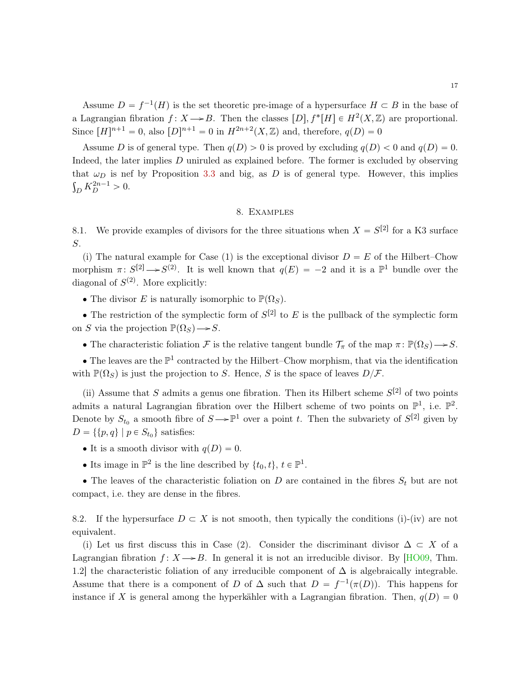<span id="page-16-1"></span>Assume  $D = f^{-1}(H)$  is the set theoretic pre-image of a hypersurface  $H \subset B$  in the base of a Lagrangian fibration  $f: X \rightarrow B$ . Then the classes  $[D], f^*[H] \in H^2(X, \mathbb{Z})$  are proportional. Since  $[H]^{n+1} = 0$ , also  $[D]^{n+1} = 0$  in  $H^{2n+2}(X, \mathbb{Z})$  and, therefore,  $q(D) = 0$ 

Assume D is of general type. Then  $q(D) > 0$  is proved by excluding  $q(D) < 0$  and  $q(D) = 0$ . Indeed, the later implies D uniruled as explained before. The former is excluded by observing that  $\omega_D$  is nef by Proposition [3.3](#page-6-3) and big, as D is of general type. However, this implies  $E_D K_D^{2n-1} > 0.$ 

### 8. Examples

8.1. We provide examples of divisors for the three situations when  $X = S^{[2]}$  for a K3 surface S.

(i) The natural example for Case (1) is the exceptional divisor  $D = E$  of the Hilbert–Chow morphism  $\pi: S^{[2]} \rightarrow S^{(2)}$ . It is well known that  $q(E) = -2$  and it is a  $\mathbb{P}^1$  bundle over the diagonal of  $S^{(2)}$ . More explicitly:

• The divisor E is naturally isomorphic to  $\mathbb{P}(\Omega_S)$ .

• The restriction of the symplectic form of  $S^{[2]}$  to E is the pullback of the symplectic form on S via the projection  $\mathbb{P}(\Omega_S) \longrightarrow S$ .

• The characteristic foliation F is the relative tangent bundle  $\mathcal{T}_{\pi}$  of the map  $\pi \colon \mathbb{P}(\Omega_S) \to S$ .

• The leaves are the  $\mathbb{P}^1$  contracted by the Hilbert–Chow morphism, that via the identification with  $\mathbb{P}(\Omega_S)$  is just the projection to S. Hence, S is the space of leaves  $D/\mathcal{F}$ .

(ii) Assume that S admits a genus one fibration. Then its Hilbert scheme  $S^{[2]}$  of two points admits a natural Lagrangian fibration over the Hilbert scheme of two points on  $\mathbb{P}^1$ , i.e.  $\mathbb{P}^2$ . Denote by  $S_{t_0}$  a smooth fibre of  $S \to \mathbb{P}^1$  over a point t. Then the subvariety of  $S^{[2]}$  given by  $D = \{ \{p, q\} \mid p \in S_{t_0} \}$  satisfies:

- It is a smooth divisor with  $q(D) = 0$ .
- Its image in  $\mathbb{P}^2$  is the line described by  $\{t_0, t\}, t \in \mathbb{P}^1$ .

• The leaves of the characteristic foliation on  $D$  are contained in the fibres  $S_t$  but are not compact, i.e. they are dense in the fibres.

<span id="page-16-0"></span>8.2. If the hypersurface  $D \subset X$  is not smooth, then typically the conditions (i)-(iv) are not equivalent.

(i) Let us first discuss this in Case (2). Consider the discriminant divisor  $\Delta \subset X$  of a Lagrangian fibration  $f: X \rightarrow B$ . In general it is not an irreducible divisor. By [\[HO09,](#page-18-13) Thm. 1.2] the characteristic foliation of any irreducible component of  $\Delta$  is algebraically integrable. Assume that there is a component of D of  $\Delta$  such that  $D = f^{-1}(\pi(D))$ . This happens for instance if X is general among the hyperkähler with a Lagrangian fibration. Then,  $q(D) = 0$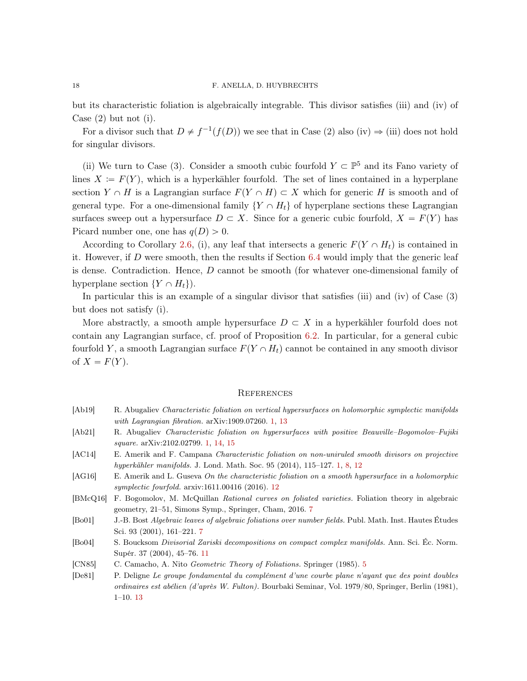but its characteristic foliation is algebraically integrable. This divisor satisfies (iii) and (iv) of Case (2) but not (i).

For a divisor such that  $D \neq f^{-1}(f(D))$  we see that in Case (2) also (iv)  $\Rightarrow$  (iii) does not hold for singular divisors.

(ii) We turn to Case (3). Consider a smooth cubic fourfold  $Y \subset \mathbb{P}^5$  and its Fano variety of lines  $X := F(Y)$ , which is a hyperkähler fourfold. The set of lines contained in a hyperplane section  $Y \cap H$  is a Lagrangian surface  $F(Y \cap H) \subset X$  which for generic H is smooth and of general type. For a one-dimensional family  $\{Y \cap H_t\}$  of hyperplane sections these Lagrangian surfaces sweep out a hypersurface  $D \subset X$ . Since for a generic cubic fourfold,  $X = F(Y)$  has Picard number one, one has  $q(D) > 0$ .

According to Corollary [2.6,](#page-4-3) (i), any leaf that intersects a generic  $F(Y \cap H_t)$  is contained in it. However, if D were smooth, then the results if Section  $6.4$  would imply that the generic leaf is dense. Contradiction. Hence, D cannot be smooth (for whatever one-dimensional family of hyperplane section  $\{Y \cap H_t\}$ .

In particular this is an example of a singular divisor that satisfies (iii) and (iv) of Case (3) but does not satisfy (i).

More abstractly, a smooth ample hypersurface  $D \subset X$  in a hyperkähler fourfold does not contain any Lagrangian surface, cf. proof of Proposition [6.2.](#page-14-3) In particular, for a general cubic fourfold Y, a smooth Lagrangian surface  $F(Y \cap H_t)$  cannot be contained in any smooth divisor of  $X = F(Y)$ .

### **REFERENCES**

- <span id="page-17-1"></span>[Ab19] R. Abugaliev Characteristic foliation on vertical hypersurfaces on holomorphic symplectic manifolds with Lagrangian fibration. arXiv:1909.07260. [1,](#page-0-0) [13](#page-12-3)
- <span id="page-17-2"></span>[Ab21] R. Abugaliev Characteristic foliation on hypersurfaces with positive Beauville–Bogomolov–Fujiki square. arXiv:2102.02799. [1,](#page-0-0) [14,](#page-13-4) [15](#page-14-5)
- <span id="page-17-0"></span>[AC14] E. Amerik and F. Campana Characteristic foliation on non-uniruled smooth divisors on projective hyperkähler manifolds. J. Lond. Math. Soc. 95 (2014), 115–127. [1,](#page-0-0) [8,](#page-7-3) [12](#page-11-5)
- <span id="page-17-7"></span>[AG16] E. Amerik and L. Guseva On the characteristic foliation on a smooth hypersurface in a holomorphic symplectic fourfold. arxiv:1611.00416 (2016). [12](#page-11-5)
- <span id="page-17-4"></span>[BMcQ16] F. Bogomolov, M. McQuillan Rational curves on foliated varieties. Foliation theory in algebraic geometry, 21–51, Simons Symp., Springer, Cham, 2016. [7](#page-6-4)
- <span id="page-17-5"></span>[Bo01] J.-B. Bost Algebraic leaves of algebraic foliations over number fields. Publ. Math. Inst. Hautes Études Sci. 93 (2001), 161–221. [7](#page-6-4)
- <span id="page-17-6"></span>[Bo04] S. Boucksom Divisorial Zariski decompositions on compact complex manifolds. Ann. Sci. Éc. Norm. Supér. 37 (2004), 45–76. [11](#page-10-6)
- <span id="page-17-8"></span><span id="page-17-3"></span>[CN85] C. Camacho, A. Nito Geometric Theory of Foliations. Springer (1985). [5](#page-4-4)
- [De81] P. Deligne Le groupe fondamental du complément d'une courbe plane n'ayant que des point doubles ordinaires est abélien (d'après W. Fulton). Bourbaki Seminar, Vol. 1979/80, Springer, Berlin (1981), 1–10. [13](#page-12-3)